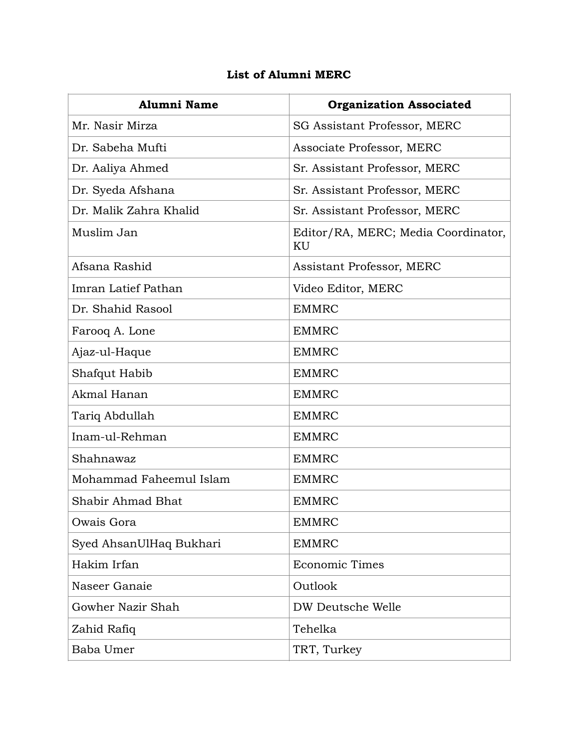## **List of Alumni MERC**

| <b>Alumni Name</b>      | <b>Organization Associated</b>            |
|-------------------------|-------------------------------------------|
| Mr. Nasir Mirza         | <b>SG Assistant Professor, MERC</b>       |
| Dr. Sabeha Mufti        | Associate Professor, MERC                 |
| Dr. Aaliya Ahmed        | Sr. Assistant Professor, MERC             |
| Dr. Syeda Afshana       | Sr. Assistant Professor, MERC             |
| Dr. Malik Zahra Khalid  | Sr. Assistant Professor, MERC             |
| Muslim Jan              | Editor/RA, MERC; Media Coordinator,<br>KU |
| Afsana Rashid           | Assistant Professor, MERC                 |
| Imran Latief Pathan     | Video Editor, MERC                        |
| Dr. Shahid Rasool       | <b>EMMRC</b>                              |
| Farooq A. Lone          | <b>EMMRC</b>                              |
| Ajaz-ul-Haque           | <b>EMMRC</b>                              |
| Shafqut Habib           | <b>EMMRC</b>                              |
| Akmal Hanan             | <b>EMMRC</b>                              |
| Tariq Abdullah          | <b>EMMRC</b>                              |
| Inam-ul-Rehman          | <b>EMMRC</b>                              |
| Shahnawaz               | <b>EMMRC</b>                              |
| Mohammad Faheemul Islam | <b>EMMRC</b>                              |
| Shabir Ahmad Bhat       | <b>EMMRC</b>                              |
| Owais Gora              | <b>EMMRC</b>                              |
| Syed AhsanUlHaq Bukhari | <b>EMMRC</b>                              |
| Hakim Irfan             | <b>Economic Times</b>                     |
| Naseer Ganaie           | Outlook                                   |
| Gowher Nazir Shah       | DW Deutsche Welle                         |
| Zahid Rafiq             | Tehelka                                   |
| Baba Umer               | TRT, Turkey                               |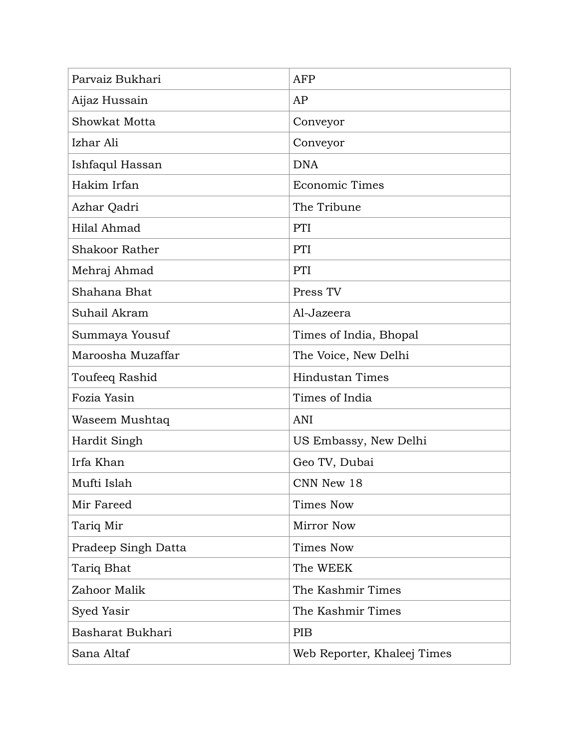| Parvaiz Bukhari       | <b>AFP</b>                  |
|-----------------------|-----------------------------|
| Aijaz Hussain         | AP                          |
| Showkat Motta         | Conveyor                    |
| Izhar Ali             | Conveyor                    |
| Ishfaqul Hassan       | <b>DNA</b>                  |
| Hakim Irfan           | <b>Economic Times</b>       |
| Azhar Qadri           | The Tribune                 |
| Hilal Ahmad           | PTI                         |
| <b>Shakoor Rather</b> | PTI                         |
| Mehraj Ahmad          | PTI                         |
| Shahana Bhat          | Press TV                    |
| Suhail Akram          | Al-Jazeera                  |
| Summaya Yousuf        | Times of India, Bhopal      |
| Maroosha Muzaffar     | The Voice, New Delhi        |
| Toufeeq Rashid        | <b>Hindustan Times</b>      |
| Fozia Yasin           | Times of India              |
| Waseem Mushtaq        | ANI                         |
| Hardit Singh          | US Embassy, New Delhi       |
| Irfa Khan             | Geo TV, Dubai               |
| Mufti Islah           | CNN New 18                  |
| Mir Fareed            | Times Now                   |
| Tariq Mir             | Mirror Now                  |
| Pradeep Singh Datta   | <b>Times Now</b>            |
| Tariq Bhat            | The WEEK                    |
| Zahoor Malik          | The Kashmir Times           |
| Syed Yasir            | The Kashmir Times           |
| Basharat Bukhari      | <b>PIB</b>                  |
| Sana Altaf            | Web Reporter, Khaleej Times |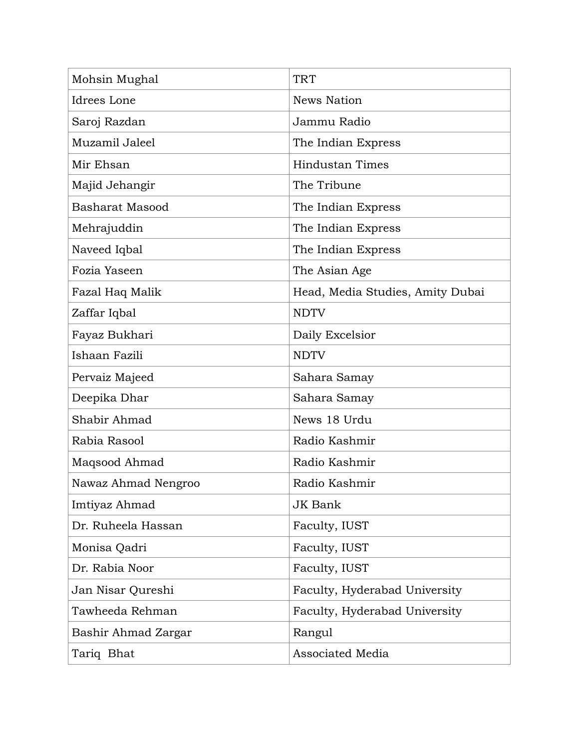| Mohsin Mughal       | <b>TRT</b>                       |
|---------------------|----------------------------------|
| Idrees Lone         | <b>News Nation</b>               |
| Saroj Razdan        | Jammu Radio                      |
| Muzamil Jaleel      | The Indian Express               |
| Mir Ehsan           | <b>Hindustan Times</b>           |
| Majid Jehangir      | The Tribune                      |
| Basharat Masood     | The Indian Express               |
| Mehrajuddin         | The Indian Express               |
| Naveed Iqbal        | The Indian Express               |
| Fozia Yaseen        | The Asian Age                    |
| Fazal Haq Malik     | Head, Media Studies, Amity Dubai |
| Zaffar Iqbal        | <b>NDTV</b>                      |
| Fayaz Bukhari       | Daily Excelsior                  |
| Ishaan Fazili       | <b>NDTV</b>                      |
| Pervaiz Majeed      | Sahara Samay                     |
| Deepika Dhar        | Sahara Samay                     |
| Shabir Ahmad        | News 18 Urdu                     |
| Rabia Rasool        | Radio Kashmir                    |
| Maqsood Ahmad       | Radio Kashmir                    |
| Nawaz Ahmad Nengroo | Radio Kashmir                    |
| Imtiyaz Ahmad       | <b>JK Bank</b>                   |
| Dr. Ruheela Hassan  | Faculty, IUST                    |
| Monisa Qadri        | Faculty, IUST                    |
| Dr. Rabia Noor      | Faculty, IUST                    |
| Jan Nisar Qureshi   | Faculty, Hyderabad University    |
| Tawheeda Rehman     | Faculty, Hyderabad University    |
| Bashir Ahmad Zargar | Rangul                           |
| Tariq Bhat          | <b>Associated Media</b>          |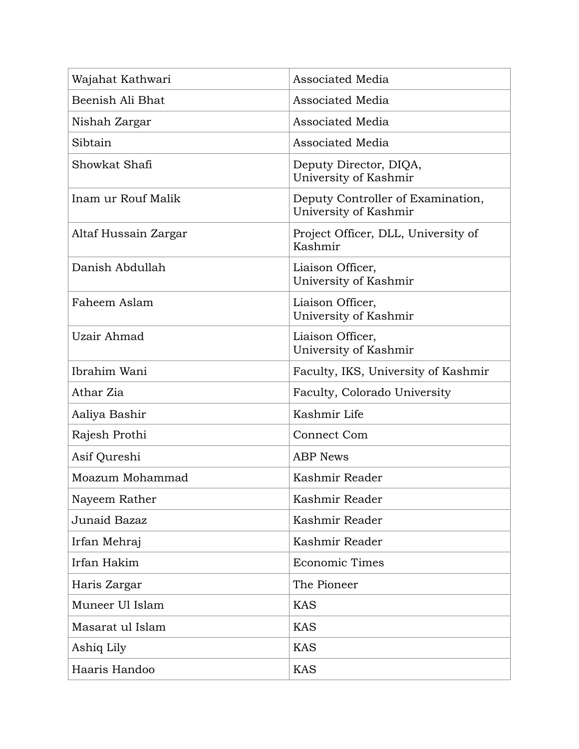| Wajahat Kathwari     | Associated Media                                           |
|----------------------|------------------------------------------------------------|
| Beenish Ali Bhat     | Associated Media                                           |
| Nishah Zargar        | <b>Associated Media</b>                                    |
| Sibtain              | Associated Media                                           |
| Showkat Shafi        | Deputy Director, DIQA,<br>University of Kashmir            |
| Inam ur Rouf Malik   | Deputy Controller of Examination,<br>University of Kashmir |
| Altaf Hussain Zargar | Project Officer, DLL, University of<br>Kashmir             |
| Danish Abdullah      | Liaison Officer,<br>University of Kashmir                  |
| Faheem Aslam         | Liaison Officer,<br>University of Kashmir                  |
| Uzair Ahmad          | Liaison Officer,<br>University of Kashmir                  |
| Ibrahim Wani         | Faculty, IKS, University of Kashmir                        |
| Athar Zia            | Faculty, Colorado University                               |
| Aaliya Bashir        | Kashmir Life                                               |
| Rajesh Prothi        | <b>Connect Com</b>                                         |
| Asif Qureshi         | <b>ABP News</b>                                            |
| Moazum Mohammad      | Kashmir Reader                                             |
| Nayeem Rather        | Kashmir Reader                                             |
| Junaid Bazaz         | Kashmir Reader                                             |
| Irfan Mehraj         | Kashmir Reader                                             |
| Irfan Hakim          | <b>Economic Times</b>                                      |
| Haris Zargar         | The Pioneer                                                |
| Muneer Ul Islam      | <b>KAS</b>                                                 |
| Masarat ul Islam     | <b>KAS</b>                                                 |
| Ashiq Lily           | <b>KAS</b>                                                 |
| Haaris Handoo        | <b>KAS</b>                                                 |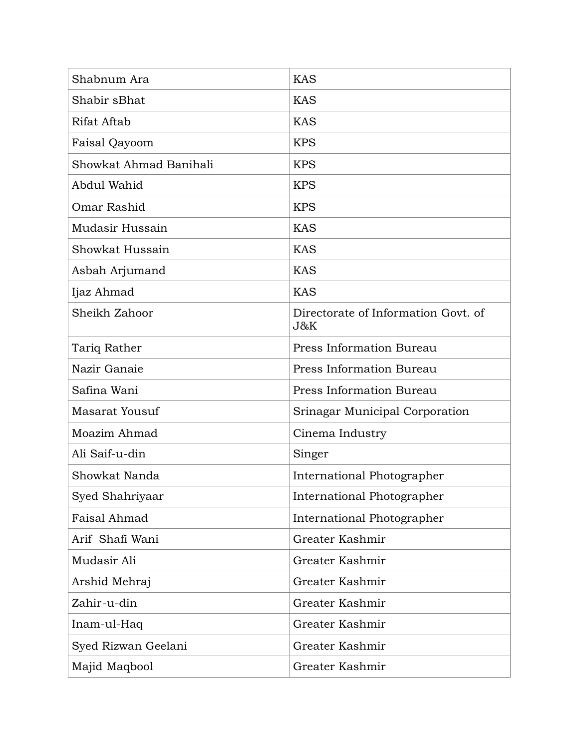| Shabnum Ara            | <b>KAS</b>                                 |
|------------------------|--------------------------------------------|
| Shabir sBhat           | <b>KAS</b>                                 |
| Rifat Aftab            | <b>KAS</b>                                 |
| Faisal Qayoom          | <b>KPS</b>                                 |
| Showkat Ahmad Banihali | <b>KPS</b>                                 |
| Abdul Wahid            | <b>KPS</b>                                 |
| Omar Rashid            | <b>KPS</b>                                 |
| Mudasir Hussain        | <b>KAS</b>                                 |
| Showkat Hussain        | <b>KAS</b>                                 |
| Asbah Arjumand         | <b>KAS</b>                                 |
| Ijaz Ahmad             | <b>KAS</b>                                 |
| Sheikh Zahoor          | Directorate of Information Govt. of<br>J&K |
| Tariq Rather           | Press Information Bureau                   |
| Nazir Ganaie           | Press Information Bureau                   |
| Safina Wani            | Press Information Bureau                   |
| Masarat Yousuf         | Srinagar Municipal Corporation             |
| Moazim Ahmad           | Cinema Industry                            |
| Ali Saif-u-din         | Singer                                     |
| Showkat Nanda          | International Photographer                 |
| Syed Shahriyaar        | International Photographer                 |
| Faisal Ahmad           | International Photographer                 |
| Arif Shafi Wani        | Greater Kashmir                            |
| Mudasir Ali            | Greater Kashmir                            |
| Arshid Mehraj          | Greater Kashmir                            |
| Zahir-u-din            | Greater Kashmir                            |
| Inam-ul-Haq            | Greater Kashmir                            |
| Syed Rizwan Geelani    | Greater Kashmir                            |
| Majid Maqbool          | Greater Kashmir                            |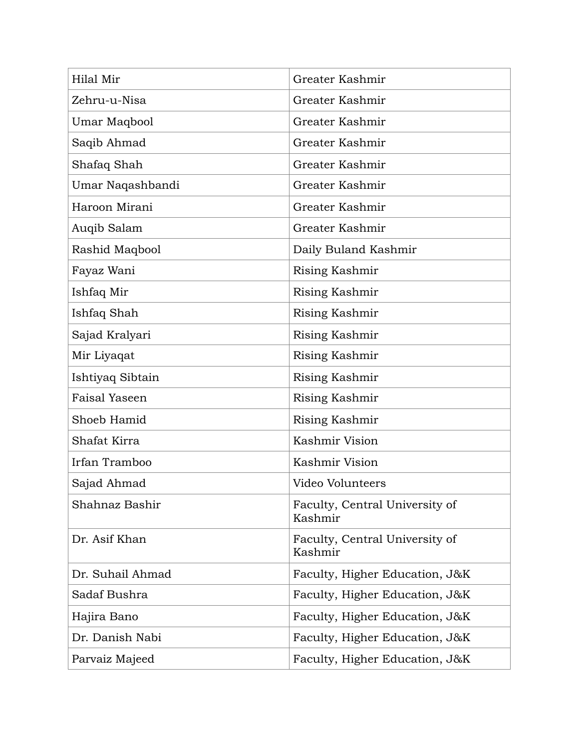| Hilal Mir            | Greater Kashmir                           |
|----------------------|-------------------------------------------|
| Zehru-u-Nisa         | Greater Kashmir                           |
| Umar Maqbool         | Greater Kashmir                           |
| Saqib Ahmad          | Greater Kashmir                           |
| Shafaq Shah          | Greater Kashmir                           |
| Umar Naqashbandi     | Greater Kashmir                           |
| Haroon Mirani        | Greater Kashmir                           |
| Auqib Salam          | Greater Kashmir                           |
| Rashid Maqbool       | Daily Buland Kashmir                      |
| Fayaz Wani           | Rising Kashmir                            |
| Ishfaq Mir           | Rising Kashmir                            |
| Ishfaq Shah          | Rising Kashmir                            |
| Sajad Kralyari       | Rising Kashmir                            |
| Mir Liyaqat          | Rising Kashmir                            |
| Ishtiyaq Sibtain     | Rising Kashmir                            |
| <b>Faisal Yaseen</b> | Rising Kashmir                            |
| Shoeb Hamid          | Rising Kashmir                            |
| Shafat Kirra         | Kashmir Vision                            |
| Irfan Tramboo        | Kashmir Vision                            |
| Sajad Ahmad          | Video Volunteers                          |
| Shahnaz Bashir       | Faculty, Central University of<br>Kashmir |
| Dr. Asif Khan        | Faculty, Central University of<br>Kashmir |
| Dr. Suhail Ahmad     | Faculty, Higher Education, J&K            |
| Sadaf Bushra         | Faculty, Higher Education, J&K            |
| Hajira Bano          | Faculty, Higher Education, J&K            |
| Dr. Danish Nabi      | Faculty, Higher Education, J&K            |
| Parvaiz Majeed       | Faculty, Higher Education, J&K            |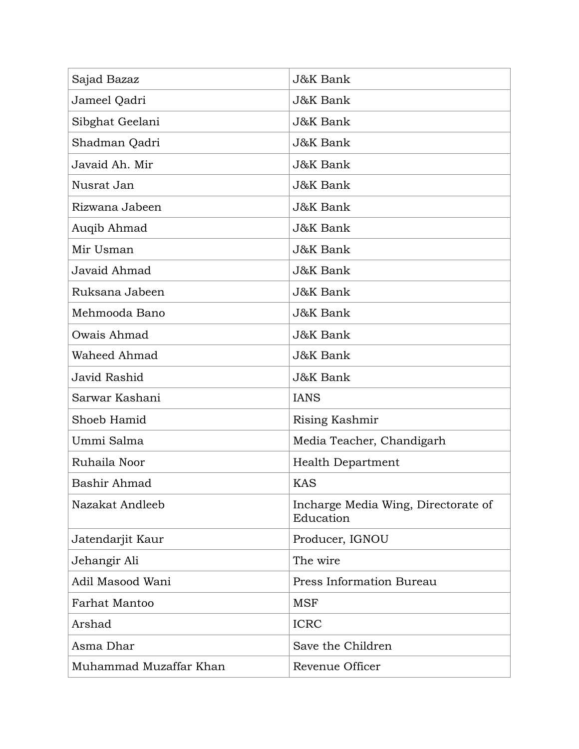| Sajad Bazaz            | J&K Bank                                         |
|------------------------|--------------------------------------------------|
| Jameel Qadri           | J&K Bank                                         |
| Sibghat Geelani        | <b>J&amp;K Bank</b>                              |
| Shadman Qadri          | <b>J&amp;K</b> Bank                              |
| Javaid Ah. Mir         | <b>J&amp;K</b> Bank                              |
| Nusrat Jan             | <b>J&amp;K</b> Bank                              |
| Rizwana Jabeen         | J&K Bank                                         |
| Auqib Ahmad            | J&K Bank                                         |
| Mir Usman              | J&K Bank                                         |
| Javaid Ahmad           | <b>J&amp;K</b> Bank                              |
| Ruksana Jabeen         | <b>J&amp;K</b> Bank                              |
| Mehmooda Bano          | J&K Bank                                         |
| Owais Ahmad            | J&K Bank                                         |
| Waheed Ahmad           | <b>J&amp;K</b> Bank                              |
| Javid Rashid           | <b>J&amp;K</b> Bank                              |
| Sarwar Kashani         | <b>IANS</b>                                      |
| Shoeb Hamid            | Rising Kashmir                                   |
| Ummi Salma             | Media Teacher, Chandigarh                        |
| Ruhaila Noor           | <b>Health Department</b>                         |
| Bashir Ahmad           | <b>KAS</b>                                       |
| Nazakat Andleeb        | Incharge Media Wing, Directorate of<br>Education |
| Jatendarjit Kaur       | Producer, IGNOU                                  |
| Jehangir Ali           | The wire                                         |
| Adil Masood Wani       | Press Information Bureau                         |
| <b>Farhat Mantoo</b>   | <b>MSF</b>                                       |
| Arshad                 | <b>ICRC</b>                                      |
| Asma Dhar              | Save the Children                                |
| Muhammad Muzaffar Khan | Revenue Officer                                  |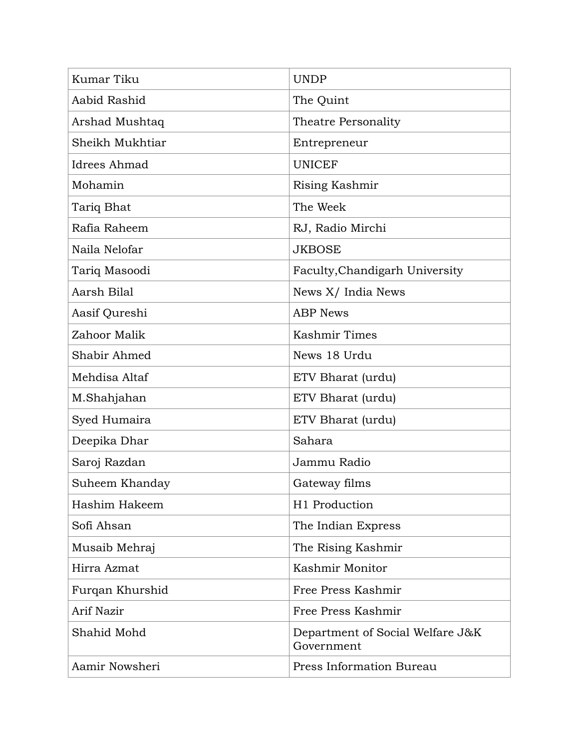| Kumar Tiku      | <b>UNDP</b>                                    |
|-----------------|------------------------------------------------|
| Aabid Rashid    | The Quint                                      |
| Arshad Mushtaq  | Theatre Personality                            |
| Sheikh Mukhtiar | Entrepreneur                                   |
| Idrees Ahmad    | <b>UNICEF</b>                                  |
| Mohamin         | Rising Kashmir                                 |
| Tariq Bhat      | The Week                                       |
| Rafia Raheem    | RJ, Radio Mirchi                               |
| Naila Nelofar   | <b>JKBOSE</b>                                  |
| Tariq Masoodi   | Faculty, Chandigarh University                 |
| Aarsh Bilal     | News X/ India News                             |
| Aasif Qureshi   | <b>ABP</b> News                                |
| Zahoor Malik    | Kashmir Times                                  |
| Shabir Ahmed    | News 18 Urdu                                   |
| Mehdisa Altaf   | ETV Bharat (urdu)                              |
| M.Shahjahan     | ETV Bharat (urdu)                              |
| Syed Humaira    | ETV Bharat (urdu)                              |
| Deepika Dhar    | Sahara                                         |
| Saroj Razdan    | Jammu Radio                                    |
| Suheem Khanday  | Gateway films                                  |
| Hashim Hakeem   | H1 Production                                  |
| Sofi Ahsan      | The Indian Express                             |
| Musaib Mehraj   | The Rising Kashmir                             |
| Hirra Azmat     | Kashmir Monitor                                |
| Furqan Khurshid | Free Press Kashmir                             |
| Arif Nazir      | Free Press Kashmir                             |
| Shahid Mohd     | Department of Social Welfare J&K<br>Government |
| Aamir Nowsheri  | Press Information Bureau                       |